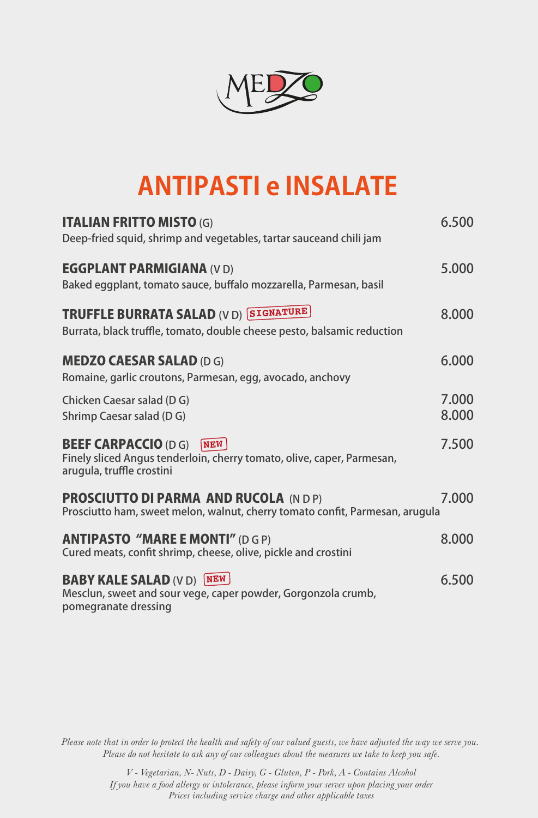

## **ANTIPASTI e INSALATE**

| <b>ITALIAN FRITTO MISTO (G)</b><br>Deep-fried squid, shrimp and vegetables, tartar sauceand chili jam | 6.500 |
|-------------------------------------------------------------------------------------------------------|-------|
|                                                                                                       |       |
| <b>EGGPLANT PARMIGIANA (VD)</b>                                                                       | 5.000 |
| Baked eggplant, tomato sauce, buffalo mozzarella, Parmesan, basil                                     |       |
| <b>TRUFFLE BURRATA SALAD (V D) SIGNATURE</b>                                                          | 8.000 |
| Burrata, black truffle, tomato, double cheese pesto, balsamic reduction                               |       |
| <b>MEDZO CAESAR SALAD (D G)</b>                                                                       | 6.000 |
| Romaine, garlic croutons, Parmesan, egg, avocado, anchovy                                             |       |
| Chicken Caesar salad (DG)                                                                             | 7.000 |
| <b>Shrimp Caesar salad (DG)</b>                                                                       | 8.000 |
| <b>BEEF CARPACCIO (D G)</b><br> NEN                                                                   | 7.500 |
| Finely sliced Angus tenderloin, cherry tomato, olive, caper, Parmesan,<br>arugula, truffle crostini   |       |
| <b>PROSCIUTTO DI PARMA AND RUCOLA (NDP)</b>                                                           | 7.000 |
| Prosciutto ham, sweet melon, walnut, cherry tomato confit, Parmesan, arugula                          |       |
| <b>ANTIPASTO "MARE E MONTI" (D G P)</b>                                                               | 8.000 |
| Cured meats, confit shrimp, cheese, olive, pickle and crostini                                        |       |
| <b>BABY KALE SALAD (V D) NEW</b>                                                                      | 6.500 |
| Mesclun, sweet and sour vege, caper powder, Gorgonzola crumb,<br>pomegranate dressing                 |       |

*Please note that in order to protect the health and safety of our valued guests, we have adjusted the way we serve you. Please do not hesitate to ask any of our colleagues about the measures we take to keep you safe.*

> *Prices including service charge and other applicable taxes V - Vegetarian, N- Nuts, D - Dairy, G - Gluten, P - Pork, A - Contains Alcohol If you have a food allergy or intolerance, please inform your server upon placing your order*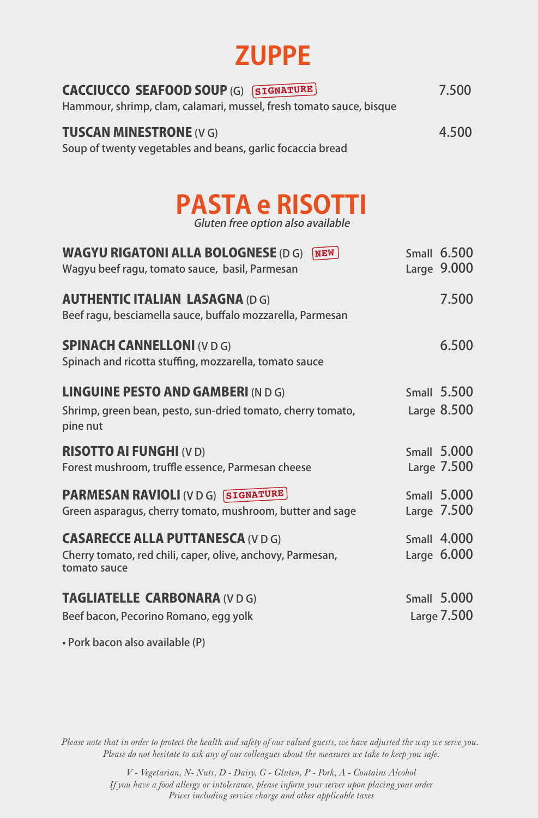## **ZUPPE**

| <b>CACCIUCCO SEAFOOD SOUP (G) SIGNATURE</b><br>Hammour, shrimp, clam, calamari, mussel, fresh tomato sauce, bisque | 7.500 |
|--------------------------------------------------------------------------------------------------------------------|-------|
| <b>TUSCAN MINESTRONE (VG)</b><br>Soup of twenty vegetables and beans, garlic focaccia bread                        | 4.500 |

## **PASTA e RISOTTI**

Gluten free option also available

| <b>WAGYU RIGATONI ALLA BOLOGNESE (D G) NEW</b><br>Wagyu beef ragu, tomato sauce, basil, Parmesan                       | <b>Small 6.500</b><br>Large 9.000 |
|------------------------------------------------------------------------------------------------------------------------|-----------------------------------|
| <b>AUTHENTIC ITALIAN LASAGNA (D G)</b><br>Beef ragu, besciamella sauce, buffalo mozzarella, Parmesan                   | 7.500                             |
| <b>SPINACH CANNELLONI (V D G)</b><br>Spinach and ricotta stuffing, mozzarella, tomato sauce                            | 6.500                             |
| <b>LINGUINE PESTO AND GAMBERI (N D G)</b>                                                                              | <b>Small 5.500</b>                |
| Shrimp, green bean, pesto, sun-dried tomato, cherry tomato,<br>pine nut                                                | Large 8.500                       |
| <b>RISOTTO AI FUNGHI (V D)</b><br>Forest mushroom, truffle essence, Parmesan cheese                                    | <b>Small 5.000</b><br>Large 7.500 |
| <b>PARMESAN RAVIOLI (VDG) SIGNATURE</b><br>Green asparagus, cherry tomato, mushroom, butter and sage                   | <b>Small 5.000</b><br>Large 7.500 |
| <b>CASARECCE ALLA PUTTANESCA (V D G)</b><br>Cherry tomato, red chili, caper, olive, anchovy, Parmesan,<br>tomato sauce | <b>Small 4.000</b><br>Large 6.000 |
| <b>TAGLIATELLE CARBONARA (VDG)</b>                                                                                     | <b>Small 5.000</b>                |
| Beef bacon, Pecorino Romano, egg yolk                                                                                  | Large 7.500                       |
|                                                                                                                        |                                   |

• Pork bacon also available (P)

*Please note that in order to protect the health and safety of our valued guests, we have adjusted the way we serve you. Please do not hesitate to ask any of our colleagues about the measures we take to keep you safe.*

> *Prices including service charge and other applicable taxes V - Vegetarian, N- Nuts, D - Dairy, G - Gluten, P - Pork, A - Contains Alcohol If you have a food allergy or intolerance, please inform your server upon placing your order*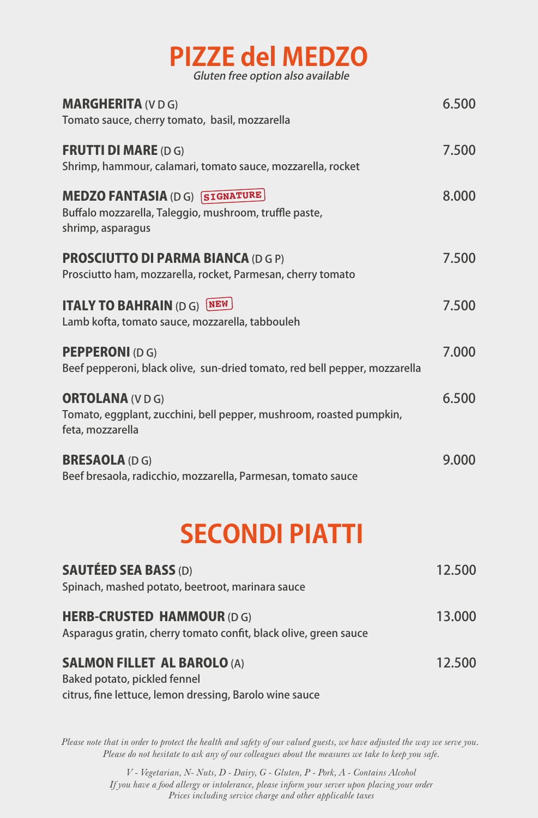| <b>PIZZE del MEDZO</b>            |  |
|-----------------------------------|--|
| Gluten free option also available |  |

| <b>MARGHERITA (VDG)</b><br>Tomato sauce, cherry tomato, basil, mozzarella                                           | 6.500 |
|---------------------------------------------------------------------------------------------------------------------|-------|
| <b>FRUTTI DI MARE (D G)</b><br>Shrimp, hammour, calamari, tomato sauce, mozzarella, rocket                          | 7.500 |
| <b>MEDZO FANTASIA (DG) SIGNATURE</b><br>Buffalo mozzarella, Taleggio, mushroom, truffle paste,<br>shrimp, asparagus | 8.000 |
| <b>PROSCIUTTO DI PARMA BIANCA (D G P)</b><br>Prosciutto ham, mozzarella, rocket, Parmesan, cherry tomato            | 7.500 |
| <b>ITALY TO BAHRAIN (D G) NEW</b><br>Lamb kofta, tomato sauce, mozzarella, tabbouleh                                | 7.500 |
| <b>PEPPERONI (DG)</b><br>Beef pepperoni, black olive, sun-dried tomato, red bell pepper, mozzarella                 | 7.000 |
| <b>ORTOLANA (VDG)</b><br>Tomato, eggplant, zucchini, bell pepper, mushroom, roasted pumpkin,<br>feta, mozzarella    | 6.500 |
| <b>BRESAOLA (D G)</b><br>Beef bresaola, radicchio, mozzarella, Parmesan, tomato sauce                               | 9.000 |

## **SECONDI PIATTI**

| <b>SAUTÉED SEA BASS (D)</b><br>Spinach, mashed potato, beetroot, marinara sauce                      | 12.500 |
|------------------------------------------------------------------------------------------------------|--------|
| <b>HERB-CRUSTED HAMMOUR (DG)</b><br>Asparagus gratin, cherry tomato confit, black olive, green sauce | 13.000 |
| <b>SALMON FILLET AL BAROLO (A)</b>                                                                   | 12.500 |
| <b>Baked potato, pickled fennel</b><br>citrus, fine lettuce, lemon dressing, Barolo wine sauce       |        |

*Please note that in order to protect the health and safety of our valued guests, we have adjusted the way we serve you. Please do not hesitate to ask any of our colleagues about the measures we take to keep you safe.*

> *Prices including service charge and other applicable taxes V - Vegetarian, N- Nuts, D - Dairy, G - Gluten, P - Pork, A - Contains Alcohol If you have a food allergy or intolerance, please inform your server upon placing your order*